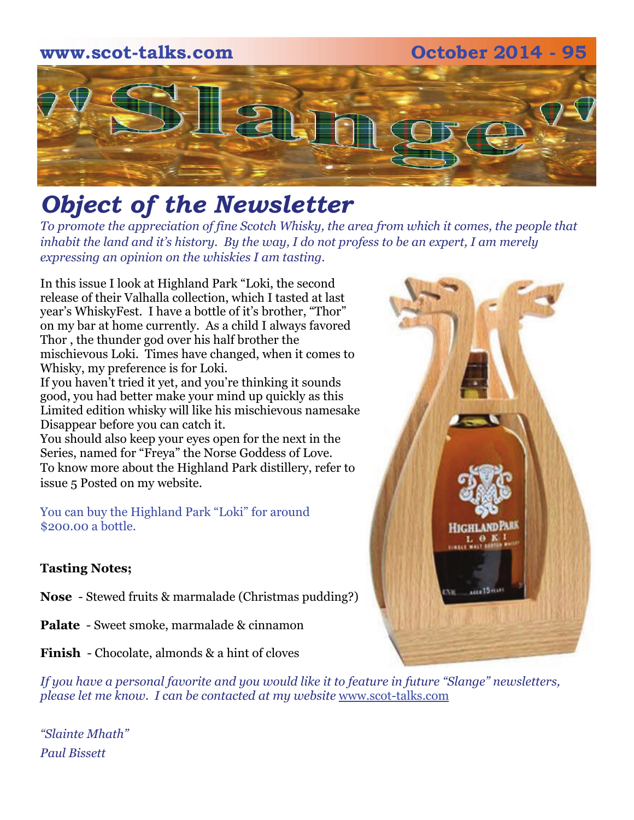# **www.scot-talks.com October 2014 - 95** 2

# *Object of the Newsletter*

*To promote the appreciation of fine Scotch Whisky, the area from which it comes, the people that inhabit the land and it's history. By the way, I do not profess to be an expert, I am merely expressing an opinion on the whiskies I am tasting.* 

In this issue I look at Highland Park "Loki, the second release of their Valhalla collection, which I tasted at last year's WhiskyFest. I have a bottle of it's brother, "Thor" on my bar at home currently. As a child I always favored Thor , the thunder god over his half brother the mischievous Loki. Times have changed, when it comes to Whisky, my preference is for Loki.

If you haven't tried it yet, and you're thinking it sounds good, you had better make your mind up quickly as this Limited edition whisky will like his mischievous namesake Disappear before you can catch it.

You should also keep your eyes open for the next in the Series, named for "Freya" the Norse Goddess of Love. To know more about the Highland Park distillery, refer to issue 5 Posted on my website.

You can buy the Highland Park "Loki" for around \$200.00 a bottle.

### **Tasting Notes;**

- **Nose**  Stewed fruits & marmalade (Christmas pudding?)
- **Palate**  Sweet smoke, marmalade & cinnamon
- **Finish**  Chocolate, almonds & a hint of cloves

*If you have a personal favorite and you would like it to feature in future "Slange" newsletters, please let me know. I can be contacted at my website* [www.scot-talks.com](http://www.scot-talks.com/default.html)

*"Slainte Mhath" Paul Bissett*

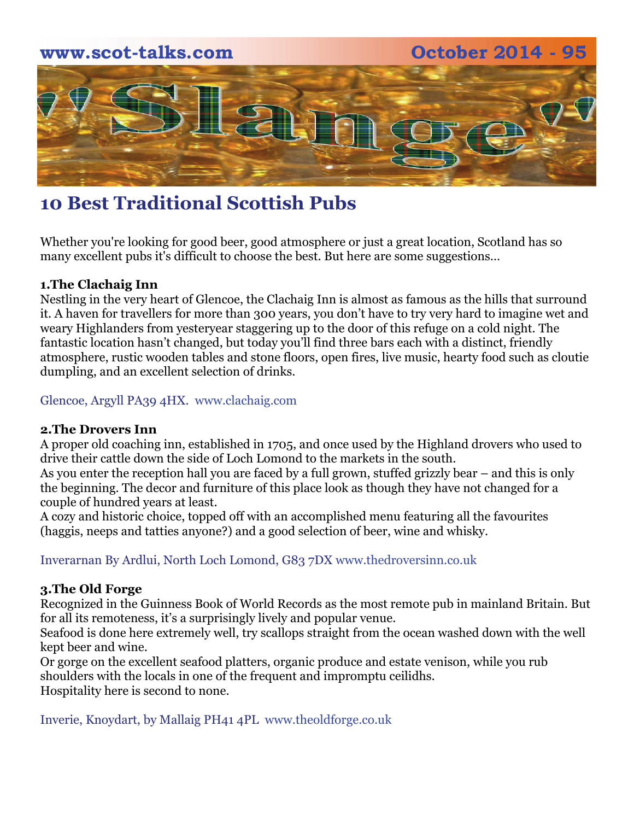

# **10 Best Traditional Scottish Pubs**

Whether you're looking for good beer, good atmosphere or just a great location, Scotland has so many excellent pubs it's difficult to choose the best. But here are some suggestions…

### **1.The Clachaig Inn**

Nestling in the very heart of Glencoe, the Clachaig Inn is almost as famous as the hills that surround it. A haven for travellers for more than 300 years, you don't have to try very hard to imagine wet and weary Highlanders from yesteryear staggering up to the door of this refuge on a cold night. The fantastic location hasn't changed, but today you'll find three bars each with a distinct, friendly atmosphere, rustic wooden tables and stone floors, open fires, live music, hearty food such as cloutie dumpling, and an excellent selection of drinks.

Glencoe, Argyll PA39 4HX. www.clachaig.com

### **2.The Drovers Inn**

A proper old coaching inn, established in 1705, and once used by the Highland drovers who used to drive their cattle down the side of Loch Lomond to the markets in the south.

As you enter the reception hall you are faced by a full grown, stuffed grizzly bear – and this is only the beginning. The decor and furniture of this place look as though they have not changed for a couple of hundred years at least.

A cozy and historic choice, topped off with an accomplished menu featuring all the favourites (haggis, neeps and tatties anyone?) and a good selection of beer, wine and whisky.

Inverarnan By Ardlui, North Loch Lomond, G83 7DX www.thedroversinn.co.uk

### **3.The Old Forge**

Recognized in the Guinness Book of World Records as the most remote pub in mainland Britain. But for all its remoteness, it's a surprisingly lively and popular venue.

Seafood is done here extremely well, try scallops straight from the ocean washed down with the well kept beer and wine.

Or gorge on the excellent seafood platters, organic produce and estate venison, while you rub shoulders with the locals in one of the frequent and impromptu ceilidhs. Hospitality here is second to none.

Inverie, Knoydart, by Mallaig PH41 4PL www.theoldforge.co.uk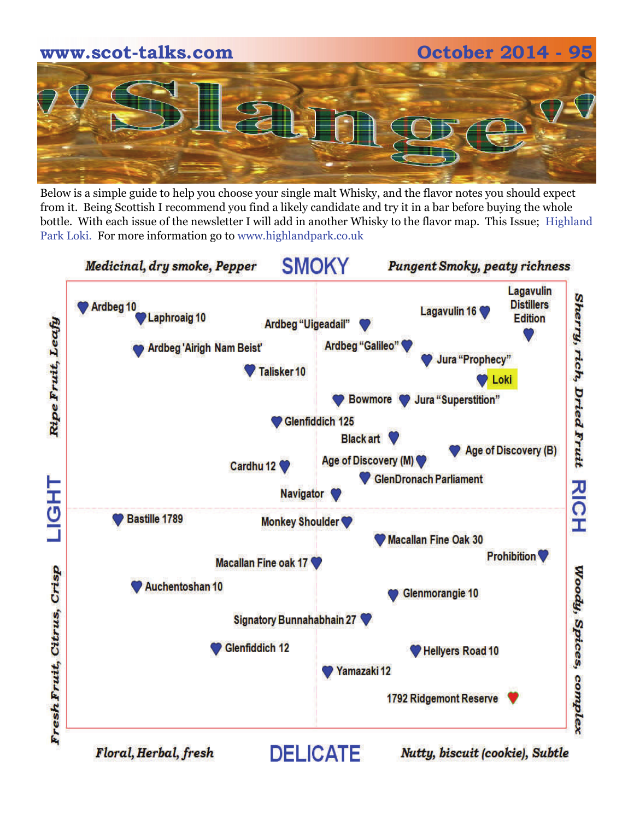

Below is a simple guide to help you choose your single malt Whisky, and the flavor notes you should expect from it. Being Scottish I recommend you find a likely candidate and try it in a bar before buying the whole bottle. With each issue of the newsletter I will add in another Whisky to the flavor map. This Issue; Highland Park Loki. For more information go to www.highlandpark.co.uk

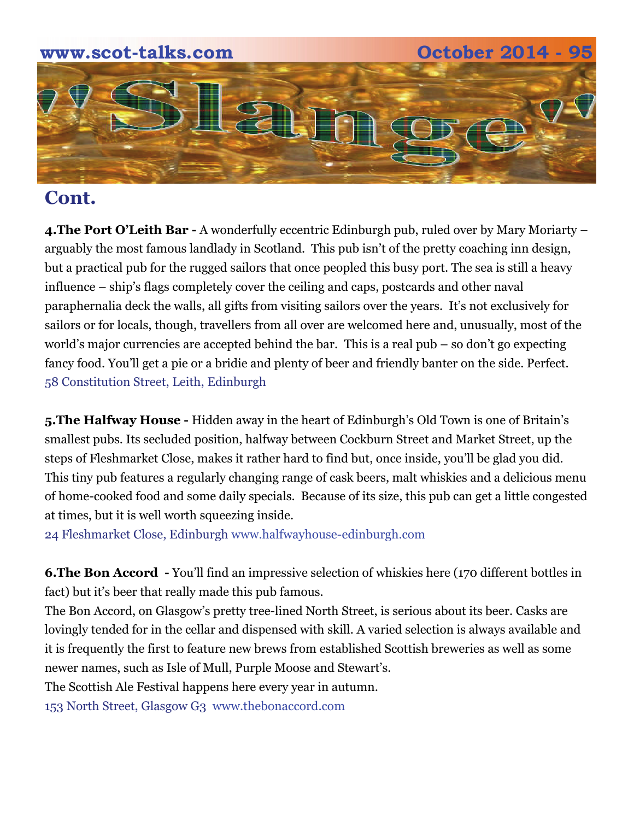

# **Cont.**

**4. The Port O'Leith Bar -** A wonderfully eccentric Edinburgh pub, ruled over by Mary Moriarty – arguably the most famous landlady in Scotland. This pub isn't of the pretty coaching inn design, but a practical pub for the rugged sailors that once peopled this busy port. The sea is still a heavy influence – ship's flags completely cover the ceiling and caps, postcards and other naval paraphernalia deck the walls, all gifts from visiting sailors over the years. It's not exclusively for sailors or for locals, though, travellers from all over are welcomed here and, unusually, most of the world's major currencies are accepted behind the bar. This is a real pub – so don't go expecting fancy food. You'll get a pie or a bridie and plenty of beer and friendly banter on the side. Perfect. 58 Constitution Street, Leith, Edinburgh

**5.The Halfway House -** Hidden away in the heart of Edinburgh's Old Town is one of Britain's smallest pubs. Its secluded position, halfway between Cockburn Street and Market Street, up the steps of Fleshmarket Close, makes it rather hard to find but, once inside, you'll be glad you did. This tiny pub features a regularly changing range of cask beers, malt whiskies and a delicious menu of home-cooked food and some daily specials. Because of its size, this pub can get a little congested at times, but it is well worth squeezing inside.

24 Fleshmarket Close, Edinburgh www.halfwayhouse-edinburgh.com

**6.The Bon Accord -** You'll find an impressive selection of whiskies here (170 different bottles in fact) but it's beer that really made this pub famous.

The Bon Accord, on Glasgow's pretty tree-lined North Street, is serious about its beer. Casks are lovingly tended for in the cellar and dispensed with skill. A varied selection is always available and it is frequently the first to feature new brews from established Scottish breweries as well as some newer names, such as Isle of Mull, Purple Moose and Stewart's.

The Scottish Ale Festival happens here every year in autumn.

153 North Street, Glasgow G3 www.thebonaccord.com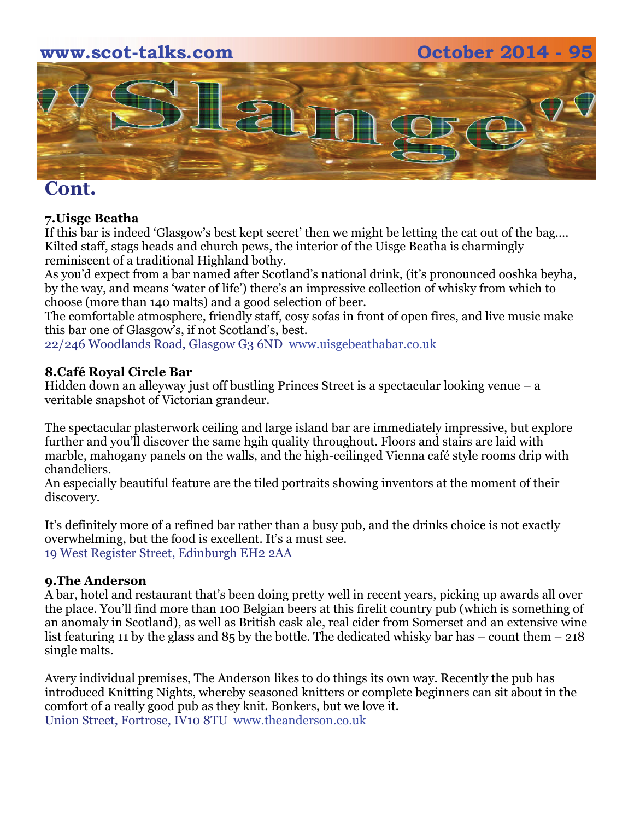



## **Cont.**

### **7.Uisge Beatha**

If this bar is indeed 'Glasgow's best kept secret' then we might be letting the cat out of the bag…. Kilted staff, stags heads and church pews, the interior of the Uisge Beatha is charmingly reminiscent of a traditional Highland bothy.

As you'd expect from a bar named after Scotland's national drink, (it's pronounced ooshka beyha, by the way, and means 'water of life') there's an impressive collection of whisky from which to choose (more than 140 malts) and a good selection of beer.

The comfortable atmosphere, friendly staff, cosy sofas in front of open fires, and live music make this bar one of Glasgow's, if not Scotland's, best.

22/246 Woodlands Road, Glasgow G3 6ND www.uisgebeathabar.co.uk

### **8.Café Royal Circle Bar**

Hidden down an alleyway just off bustling Princes Street is a spectacular looking venue – a veritable snapshot of Victorian grandeur.

The spectacular plasterwork ceiling and large island bar are immediately impressive, but explore further and you'll discover the same hgih quality throughout. Floors and stairs are laid with marble, mahogany panels on the walls, and the high-ceilinged Vienna café style rooms drip with chandeliers.

An especially beautiful feature are the tiled portraits showing inventors at the moment of their discovery.

It's definitely more of a refined bar rather than a busy pub, and the drinks choice is not exactly overwhelming, but the food is excellent. It's a must see. 19 West Register Street, Edinburgh EH2 2AA

### **9.The Anderson**

A bar, hotel and restaurant that's been doing pretty well in recent years, picking up awards all over the place. You'll find more than 100 Belgian beers at this firelit country pub (which is something of an anomaly in Scotland), as well as British cask ale, real cider from Somerset and an extensive wine list featuring 11 by the glass and  $85$  by the bottle. The dedicated whisky bar has – count them – 218 single malts.

Avery individual premises, The Anderson likes to do things its own way. Recently the pub has introduced Knitting Nights, whereby seasoned knitters or complete beginners can sit about in the comfort of a really good pub as they knit. Bonkers, but we love it. Union Street, Fortrose, IV10 8TU www.theanderson.co.uk